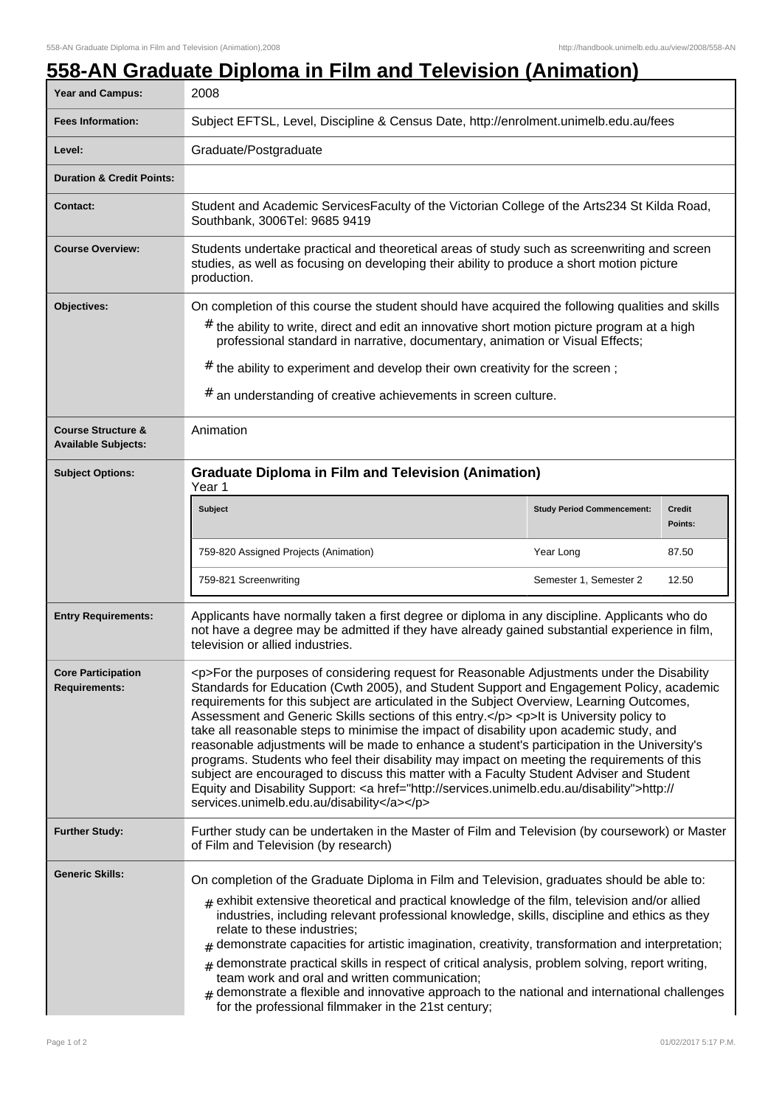## **558-AN Graduate Diploma in Film and Television (Animation)**

| Year and Campus:                                            | 2008                                                                                                                                                                                                                                                                                                                                                                                                                                                                                                                                                                                                                                                                                                                                                                                                                                                                                                                         |                                   |                          |
|-------------------------------------------------------------|------------------------------------------------------------------------------------------------------------------------------------------------------------------------------------------------------------------------------------------------------------------------------------------------------------------------------------------------------------------------------------------------------------------------------------------------------------------------------------------------------------------------------------------------------------------------------------------------------------------------------------------------------------------------------------------------------------------------------------------------------------------------------------------------------------------------------------------------------------------------------------------------------------------------------|-----------------------------------|--------------------------|
| <b>Fees Information:</b>                                    | Subject EFTSL, Level, Discipline & Census Date, http://enrolment.unimelb.edu.au/fees                                                                                                                                                                                                                                                                                                                                                                                                                                                                                                                                                                                                                                                                                                                                                                                                                                         |                                   |                          |
| Level:                                                      | Graduate/Postgraduate                                                                                                                                                                                                                                                                                                                                                                                                                                                                                                                                                                                                                                                                                                                                                                                                                                                                                                        |                                   |                          |
| <b>Duration &amp; Credit Points:</b>                        |                                                                                                                                                                                                                                                                                                                                                                                                                                                                                                                                                                                                                                                                                                                                                                                                                                                                                                                              |                                   |                          |
| <b>Contact:</b>                                             | Student and Academic ServicesFaculty of the Victorian College of the Arts234 St Kilda Road,<br>Southbank, 3006Tel: 9685 9419                                                                                                                                                                                                                                                                                                                                                                                                                                                                                                                                                                                                                                                                                                                                                                                                 |                                   |                          |
| <b>Course Overview:</b>                                     | Students undertake practical and theoretical areas of study such as screenwriting and screen<br>studies, as well as focusing on developing their ability to produce a short motion picture<br>production.                                                                                                                                                                                                                                                                                                                                                                                                                                                                                                                                                                                                                                                                                                                    |                                   |                          |
| Objectives:                                                 | On completion of this course the student should have acquired the following qualities and skills<br>$#$ the ability to write, direct and edit an innovative short motion picture program at a high<br>professional standard in narrative, documentary, animation or Visual Effects;<br>$#$ the ability to experiment and develop their own creativity for the screen;<br>$#$ an understanding of creative achievements in screen culture.                                                                                                                                                                                                                                                                                                                                                                                                                                                                                    |                                   |                          |
| <b>Course Structure &amp;</b><br><b>Available Subjects:</b> | Animation                                                                                                                                                                                                                                                                                                                                                                                                                                                                                                                                                                                                                                                                                                                                                                                                                                                                                                                    |                                   |                          |
| <b>Subject Options:</b>                                     | <b>Graduate Diploma in Film and Television (Animation)</b><br>Year 1                                                                                                                                                                                                                                                                                                                                                                                                                                                                                                                                                                                                                                                                                                                                                                                                                                                         |                                   |                          |
|                                                             | <b>Subject</b>                                                                                                                                                                                                                                                                                                                                                                                                                                                                                                                                                                                                                                                                                                                                                                                                                                                                                                               | <b>Study Period Commencement:</b> | <b>Credit</b><br>Points: |
|                                                             | 759-820 Assigned Projects (Animation)                                                                                                                                                                                                                                                                                                                                                                                                                                                                                                                                                                                                                                                                                                                                                                                                                                                                                        | Year Long                         | 87.50                    |
|                                                             | 759-821 Screenwriting                                                                                                                                                                                                                                                                                                                                                                                                                                                                                                                                                                                                                                                                                                                                                                                                                                                                                                        | Semester 1, Semester 2            | 12.50                    |
| <b>Entry Requirements:</b>                                  | Applicants have normally taken a first degree or diploma in any discipline. Applicants who do<br>not have a degree may be admitted if they have already gained substantial experience in film,<br>television or allied industries.                                                                                                                                                                                                                                                                                                                                                                                                                                                                                                                                                                                                                                                                                           |                                   |                          |
| <b>Core Participation</b><br><b>Requirements:</b>           | <p>For the purposes of considering request for Reasonable Adjustments under the Disability<br/>Standards for Education (Cwth 2005), and Student Support and Engagement Policy, academic<br/>requirements for this subject are articulated in the Subject Overview, Learning Outcomes,<br/>Assessment and Generic Skills sections of this entry.</p> <p>It is University policy to<br/>take all reasonable steps to minimise the impact of disability upon academic study, and<br/>reasonable adjustments will be made to enhance a student's participation in the University's<br/>programs. Students who feel their disability may impact on meeting the requirements of this<br/>subject are encouraged to discuss this matter with a Faculty Student Adviser and Student<br/>Equity and Disability Support: &lt; a href="http://services.unimelb.edu.au/disability"&gt;http://<br/>services.unimelb.edu.au/disability</p> |                                   |                          |
| <b>Further Study:</b>                                       | Further study can be undertaken in the Master of Film and Television (by coursework) or Master<br>of Film and Television (by research)                                                                                                                                                                                                                                                                                                                                                                                                                                                                                                                                                                                                                                                                                                                                                                                       |                                   |                          |
| <b>Generic Skills:</b>                                      | On completion of the Graduate Diploma in Film and Television, graduates should be able to:<br>$_{\text{\#}}$ exhibit extensive theoretical and practical knowledge of the film, television and/or allied<br>industries, including relevant professional knowledge, skills, discipline and ethics as they<br>relate to these industries;<br>demonstrate capacities for artistic imagination, creativity, transformation and interpretation;<br>#<br>demonstrate practical skills in respect of critical analysis, problem solving, report writing,<br>#<br>team work and oral and written communication;<br>demonstrate a flexible and innovative approach to the national and international challenges<br>#<br>for the professional filmmaker in the 21st century;                                                                                                                                                           |                                   |                          |